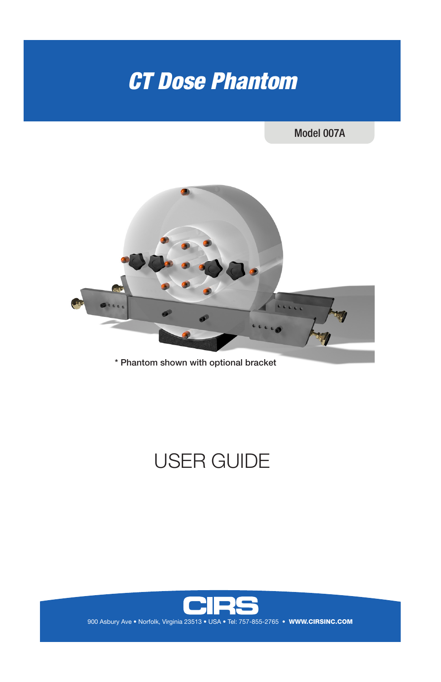# *CT Dose Phantom*

### Model 007A



\* Phantom shown with optional bracket

# USER GUIDE



900 Asbury Ave • Norfolk, Virginia 23513 • USA • Tel: 757-855-2765 • WWW.CIRSINC.COM

**WWW.CIRSINC.COM**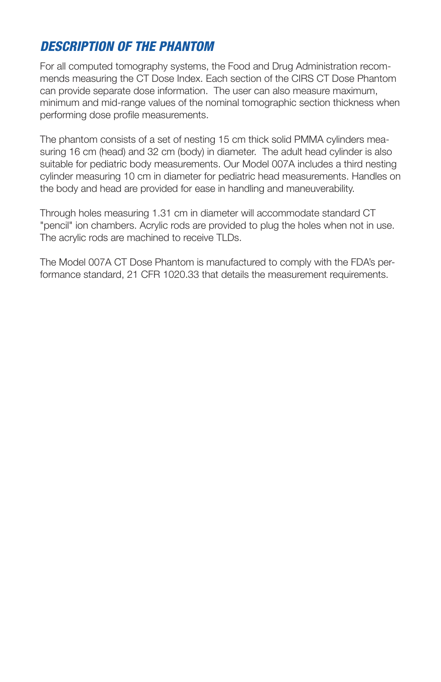## *DESCRIPTION OF THE PHANTOM*

For all computed tomography systems, the Food and Drug Administration recommends measuring the CT Dose Index. Each section of the CIRS CT Dose Phantom can provide separate dose information. The user can also measure maximum, minimum and mid-range values of the nominal tomographic section thickness when performing dose profile measurements.

The phantom consists of a set of nesting 15 cm thick solid PMMA cylinders measuring 16 cm (head) and 32 cm (body) in diameter. The adult head cylinder is also suitable for pediatric body measurements. Our Model 007A includes a third nesting cylinder measuring 10 cm in diameter for pediatric head measurements. Handles on the body and head are provided for ease in handling and maneuverability.

Through holes measuring 1.31 cm in diameter will accommodate standard CT "pencil" ion chambers. Acrylic rods are provided to plug the holes when not in use. The acrylic rods are machined to receive TLDs.

The Model 007A CT Dose Phantom is manufactured to comply with the FDA's performance standard, 21 CFR 1020.33 that details the measurement requirements.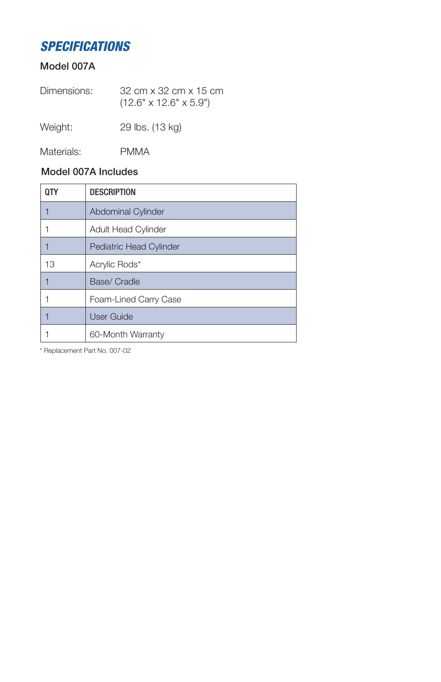# *SPECIFICATIONS*

#### Model 007A

| Dimensions: | 32 cm x 32 cm x 15 cm              |
|-------------|------------------------------------|
|             | $(12.6" \times 12.6" \times 5.9")$ |
|             |                                    |

Weight: 29 lbs. (13 kg)

Materials: PMMA

#### Model 007A Includes

| 0TY | <b>DESCRIPTION</b>             |
|-----|--------------------------------|
|     | <b>Abdominal Cylinder</b>      |
|     | <b>Adult Head Cylinder</b>     |
|     | <b>Pediatric Head Cylinder</b> |
| 13  | Acrylic Rods*                  |
|     | Base/ Cradle                   |
|     | Foam-Lined Carry Case          |
|     | <b>User Guide</b>              |
|     | 60-Month Warranty              |

\* Replacement Part No. 007-02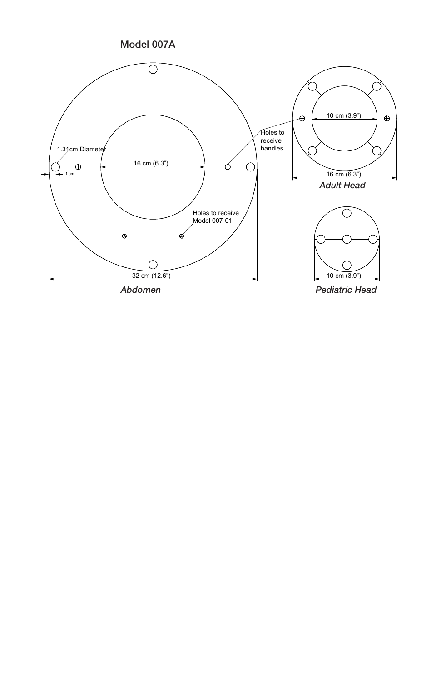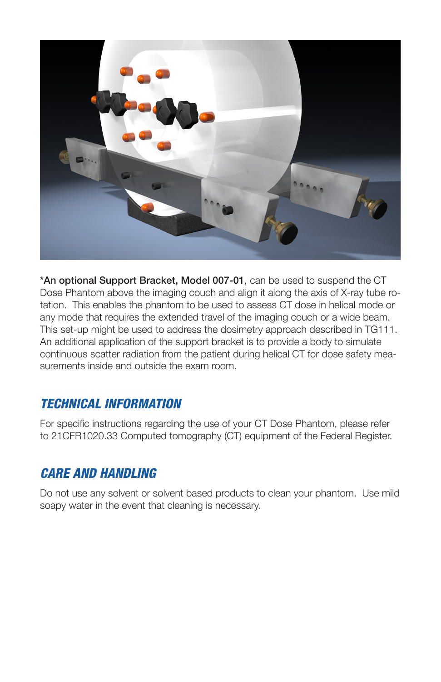

\*An optional Support Bracket, Model 007-01, can be used to suspend the CT Dose Phantom above the imaging couch and align it along the axis of X-ray tube rotation. This enables the phantom to be used to assess CT dose in helical mode or any mode that requires the extended travel of the imaging couch or a wide beam. This set-up might be used to address the dosimetry approach described in TG111. An additional application of the support bracket is to provide a body to simulate continuous scatter radiation from the patient during helical CT for dose safety measurements inside and outside the exam room.

## *TECHNICAL INFORMATION*

For specific instructions regarding the use of your CT Dose Phantom, please refer to 21CFR1020.33 Computed tomography (CT) equipment of the Federal Register.

# *CARE AND HANDLING*

Do not use any solvent or solvent based products to clean your phantom. Use mild soapy water in the event that cleaning is necessary.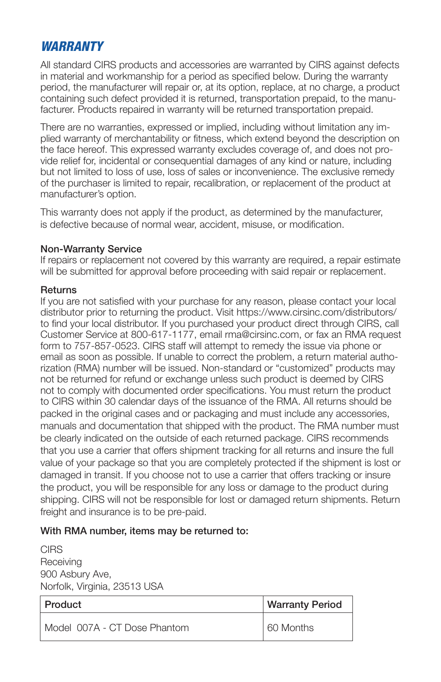## *WARRANTY*

All standard CIRS products and accessories are warranted by CIRS against defects in material and workmanship for a period as specified below. During the warranty period, the manufacturer will repair or, at its option, replace, at no charge, a product containing such defect provided it is returned, transportation prepaid, to the manufacturer. Products repaired in warranty will be returned transportation prepaid.

There are no warranties, expressed or implied, including without limitation any implied warranty of merchantability or fitness, which extend beyond the description on the face hereof. This expressed warranty excludes coverage of, and does not provide relief for, incidental or consequential damages of any kind or nature, including but not limited to loss of use, loss of sales or inconvenience. The exclusive remedy of the purchaser is limited to repair, recalibration, or replacement of the product at manufacturer's option.

This warranty does not apply if the product, as determined by the manufacturer, is defective because of normal wear, accident, misuse, or modification.

#### Non-Warranty Service

If repairs or replacement not covered by this warranty are required, a repair estimate will be submitted for approval before proceeding with said repair or replacement.

#### **Returns**

If you are not satisfied with your purchase for any reason, please contact your local distributor prior to returning the product. Visit https://www.cirsinc.com/distributors/ to find your local distributor. If you purchased your product direct through CIRS, call Customer Service at 800-617-1177, email rma@cirsinc.com, or fax an RMA request form to 757-857-0523. CIRS staff will attempt to remedy the issue via phone or email as soon as possible. If unable to correct the problem, a return material authorization (RMA) number will be issued. Non-standard or "customized" products may not be returned for refund or exchange unless such product is deemed by CIRS not to comply with documented order specifications. You must return the product to CIRS within 30 calendar days of the issuance of the RMA. All returns should be packed in the original cases and or packaging and must include any accessories, manuals and documentation that shipped with the product. The RMA number must be clearly indicated on the outside of each returned package. CIRS recommends that you use a carrier that offers shipment tracking for all returns and insure the full value of your package so that you are completely protected if the shipment is lost or damaged in transit. If you choose not to use a carrier that offers tracking or insure the product, you will be responsible for any loss or damage to the product during shipping. CIRS will not be responsible for lost or damaged return shipments. Return freight and insurance is to be pre-paid.

#### With RMA number, items may be returned to:

**CIRS Receiving** 900 Asbury Ave, Norfolk, Virginia, 23513 USA

| Product                        | <b>Warranty Period</b> |
|--------------------------------|------------------------|
| l Model 007A - CT Dose Phantom | 60 Months              |